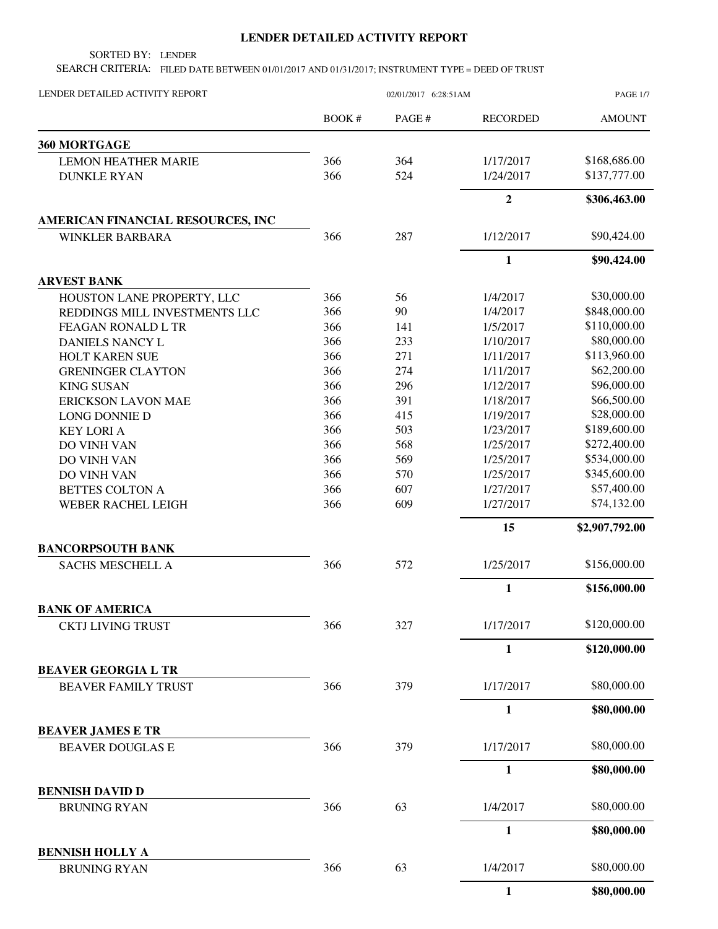## **LENDER DETAILED ACTIVITY REPORT**

SORTED BY: LENDER

SEARCH CRITERIA: FILED DATE BETWEEN 01/01/2017 AND 01/31/2017; INSTRUMENT TYPE = DEED OF TRUST

| LENDER DETAILED ACTIVITY REPORT               | 02/01/2017 6:28:51AM |       |                 | <b>PAGE 1/7</b> |
|-----------------------------------------------|----------------------|-------|-----------------|-----------------|
|                                               | <b>BOOK#</b>         | PAGE# | <b>RECORDED</b> | <b>AMOUNT</b>   |
| 360 MORTGAGE                                  |                      |       |                 |                 |
| <b>LEMON HEATHER MARIE</b>                    | 366                  | 364   | 1/17/2017       | \$168,686.00    |
| <b>DUNKLE RYAN</b>                            | 366                  | 524   | 1/24/2017       | \$137,777.00    |
|                                               |                      |       | $\overline{2}$  | \$306,463.00    |
| AMERICAN FINANCIAL RESOURCES, INC             |                      |       |                 |                 |
| <b>WINKLER BARBARA</b>                        | 366                  | 287   | 1/12/2017       | \$90,424.00     |
|                                               |                      |       | $\mathbf{1}$    | \$90,424.00     |
| <b>ARVEST BANK</b>                            |                      |       |                 |                 |
| HOUSTON LANE PROPERTY, LLC                    | 366                  | 56    | 1/4/2017        | \$30,000.00     |
| REDDINGS MILL INVESTMENTS LLC                 | 366                  | 90    | 1/4/2017        | \$848,000.00    |
| FEAGAN RONALD L TR                            | 366                  | 141   | 1/5/2017        | \$110,000.00    |
| DANIELS NANCY L                               | 366                  | 233   | 1/10/2017       | \$80,000.00     |
| HOLT KAREN SUE                                | 366                  | 271   | 1/11/2017       | \$113,960.00    |
| <b>GRENINGER CLAYTON</b>                      | 366                  | 274   | 1/11/2017       | \$62,200.00     |
| <b>KING SUSAN</b>                             | 366                  | 296   | 1/12/2017       | \$96,000.00     |
| <b>ERICKSON LAVON MAE</b>                     | 366                  | 391   | 1/18/2017       | \$66,500.00     |
| <b>LONG DONNIE D</b>                          | 366                  | 415   | 1/19/2017       | \$28,000.00     |
| <b>KEY LORI A</b>                             | 366                  | 503   | 1/23/2017       | \$189,600.00    |
| DO VINH VAN                                   | 366                  | 568   | 1/25/2017       | \$272,400.00    |
| DO VINH VAN                                   | 366                  | 569   | 1/25/2017       | \$534,000.00    |
| DO VINH VAN                                   | 366                  | 570   | 1/25/2017       | \$345,600.00    |
| <b>BETTES COLTON A</b>                        | 366                  | 607   | 1/27/2017       | \$57,400.00     |
| <b>WEBER RACHEL LEIGH</b>                     | 366                  | 609   | 1/27/2017       | \$74,132.00     |
|                                               |                      |       | 15              | \$2,907,792.00  |
| <b>BANCORPSOUTH BANK</b>                      |                      |       |                 |                 |
| SACHS MESCHELL A                              | 366                  | 572   | 1/25/2017       | \$156,000.00    |
|                                               |                      |       | $\mathbf{1}$    | \$156,000.00    |
| <b>BANK OF AMERICA</b>                        |                      |       |                 |                 |
| <b>CKTJ LIVING TRUST</b>                      | 366                  | 327   | 1/17/2017       | \$120,000.00    |
|                                               |                      |       | 1               | \$120,000.00    |
| <b>BEAVER GEORGIA L TR</b>                    |                      |       |                 |                 |
| <b>BEAVER FAMILY TRUST</b>                    | 366                  | 379   | 1/17/2017       | \$80,000.00     |
|                                               |                      |       | $\mathbf{1}$    | \$80,000.00     |
| <b>BEAVER JAMES E TR</b>                      |                      |       |                 |                 |
| <b>BEAVER DOUGLAS E</b>                       | 366                  | 379   | 1/17/2017       | \$80,000.00     |
|                                               |                      |       | $\mathbf{1}$    | \$80,000.00     |
| <b>BENNISH DAVID D</b>                        |                      |       |                 |                 |
| <b>BRUNING RYAN</b>                           | 366                  | 63    | 1/4/2017        | \$80,000.00     |
|                                               |                      |       | $\mathbf{1}$    | \$80,000.00     |
| <b>BENNISH HOLLY A</b><br><b>BRUNING RYAN</b> | 366                  | 63    | 1/4/2017        | \$80,000.00     |
|                                               |                      |       | $\mathbf{1}$    | \$80,000.00     |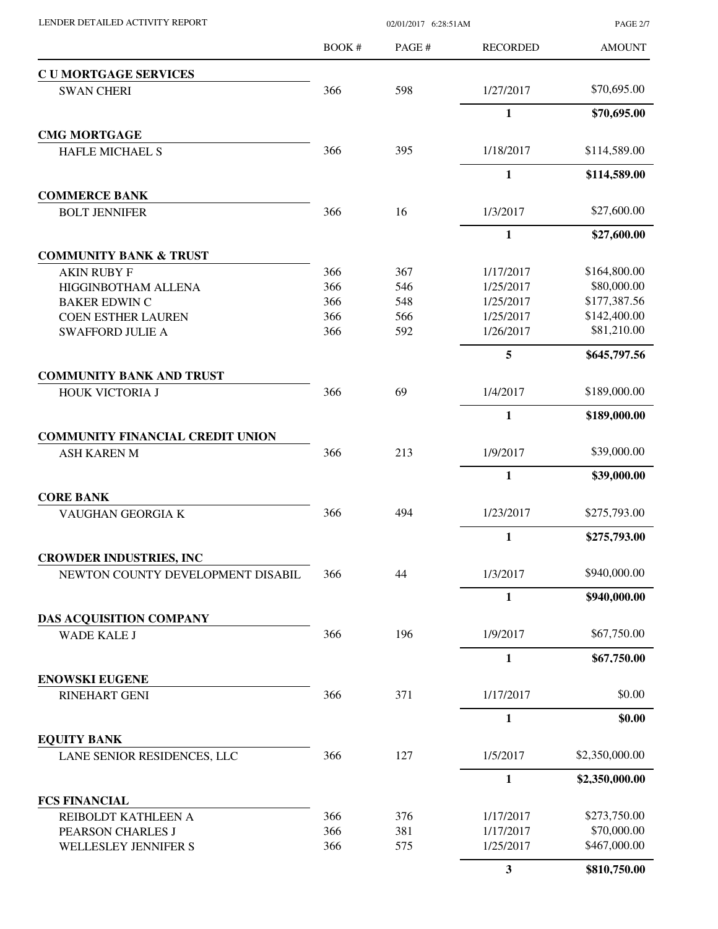| LENDER DETAILED ACTIVITY REPORT |  |
|---------------------------------|--|

02/01/2017 6:28:51AM

PAGE 2/7

| <b>CUMORTGAGE SERVICES</b><br>598<br>\$70,695.00<br>366<br>1/27/2017<br><b>SWAN CHERI</b><br>$\mathbf{1}$<br>\$70,695.00<br><b>CMG MORTGAGE</b><br>366<br>395<br>1/18/2017<br>\$114,589.00<br>HAFLE MICHAEL S<br>$\mathbf{1}$<br>\$114,589.00<br><b>COMMERCE BANK</b><br>366<br>16<br>\$27,600.00<br>1/3/2017<br><b>BOLT JENNIFER</b><br>1<br>\$27,600.00<br><b>COMMUNITY BANK &amp; TRUST</b><br>\$164,800.00<br>366<br>367<br>1/17/2017<br><b>AKIN RUBY F</b><br>\$80,000.00<br>366<br>546<br>1/25/2017<br>HIGGINBOTHAM ALLENA<br>\$177,387.56<br>366<br>548<br>1/25/2017<br><b>BAKER EDWIN C</b><br>\$142,400.00<br>366<br>566<br>1/25/2017<br><b>COEN ESTHER LAUREN</b><br>\$81,210.00<br>366<br>592<br>1/26/2017<br><b>SWAFFORD JULIE A</b><br>5<br>\$645,797.56<br><b>COMMUNITY BANK AND TRUST</b><br>366<br>69<br>1/4/2017<br>\$189,000.00<br>HOUK VICTORIA J<br>$\mathbf{1}$<br>\$189,000.00<br><b>COMMUNITY FINANCIAL CREDIT UNION</b><br>\$39,000.00<br>366<br>213<br>1/9/2017<br><b>ASH KAREN M</b><br>$\mathbf{1}$<br>\$39,000.00<br><b>CORE BANK</b><br>\$275,793.00<br>366<br>494<br>1/23/2017<br>VAUGHAN GEORGIA K<br>$\mathbf{1}$<br>\$275,793.00<br><b>CROWDER INDUSTRIES, INC</b><br>\$940,000.00<br>44<br>1/3/2017<br>NEWTON COUNTY DEVELOPMENT DISABIL<br>366<br>$\mathbf{1}$<br>\$940,000.00<br>DAS ACQUISITION COMPANY<br>\$67,750.00<br>196<br>WADE KALE J<br>366<br>1/9/2017<br>1<br>\$67,750.00<br><b>ENOWSKI EUGENE</b><br>\$0.00<br>366<br>371<br>1/17/2017<br><b>RINEHART GENI</b><br>$\mathbf{1}$<br>\$0.00<br><b>EQUITY BANK</b><br>\$2,350,000.00<br>366<br>127<br>1/5/2017<br>LANE SENIOR RESIDENCES, LLC<br>$\mathbf{1}$<br>\$2,350,000.00<br><b>FCS FINANCIAL</b><br>1/17/2017<br>\$273,750.00<br>366<br>376<br>REIBOLDT KATHLEEN A<br>\$70,000.00<br>366<br>381<br>PEARSON CHARLES J<br>1/17/2017<br>366<br>575<br>\$467,000.00<br>1/25/2017<br>WELLESLEY JENNIFER S | <b>BOOK#</b> | PAGE# | <b>RECORDED</b> | <b>AMOUNT</b> |
|---------------------------------------------------------------------------------------------------------------------------------------------------------------------------------------------------------------------------------------------------------------------------------------------------------------------------------------------------------------------------------------------------------------------------------------------------------------------------------------------------------------------------------------------------------------------------------------------------------------------------------------------------------------------------------------------------------------------------------------------------------------------------------------------------------------------------------------------------------------------------------------------------------------------------------------------------------------------------------------------------------------------------------------------------------------------------------------------------------------------------------------------------------------------------------------------------------------------------------------------------------------------------------------------------------------------------------------------------------------------------------------------------------------------------------------------------------------------------------------------------------------------------------------------------------------------------------------------------------------------------------------------------------------------------------------------------------------------------------------------------------------------------------------------------------------------------------------------------------------------------------------------------------|--------------|-------|-----------------|---------------|
|                                                                                                                                                                                                                                                                                                                                                                                                                                                                                                                                                                                                                                                                                                                                                                                                                                                                                                                                                                                                                                                                                                                                                                                                                                                                                                                                                                                                                                                                                                                                                                                                                                                                                                                                                                                                                                                                                                         |              |       |                 |               |
|                                                                                                                                                                                                                                                                                                                                                                                                                                                                                                                                                                                                                                                                                                                                                                                                                                                                                                                                                                                                                                                                                                                                                                                                                                                                                                                                                                                                                                                                                                                                                                                                                                                                                                                                                                                                                                                                                                         |              |       |                 |               |
|                                                                                                                                                                                                                                                                                                                                                                                                                                                                                                                                                                                                                                                                                                                                                                                                                                                                                                                                                                                                                                                                                                                                                                                                                                                                                                                                                                                                                                                                                                                                                                                                                                                                                                                                                                                                                                                                                                         |              |       |                 |               |
|                                                                                                                                                                                                                                                                                                                                                                                                                                                                                                                                                                                                                                                                                                                                                                                                                                                                                                                                                                                                                                                                                                                                                                                                                                                                                                                                                                                                                                                                                                                                                                                                                                                                                                                                                                                                                                                                                                         |              |       |                 |               |
|                                                                                                                                                                                                                                                                                                                                                                                                                                                                                                                                                                                                                                                                                                                                                                                                                                                                                                                                                                                                                                                                                                                                                                                                                                                                                                                                                                                                                                                                                                                                                                                                                                                                                                                                                                                                                                                                                                         |              |       |                 |               |
|                                                                                                                                                                                                                                                                                                                                                                                                                                                                                                                                                                                                                                                                                                                                                                                                                                                                                                                                                                                                                                                                                                                                                                                                                                                                                                                                                                                                                                                                                                                                                                                                                                                                                                                                                                                                                                                                                                         |              |       |                 |               |
|                                                                                                                                                                                                                                                                                                                                                                                                                                                                                                                                                                                                                                                                                                                                                                                                                                                                                                                                                                                                                                                                                                                                                                                                                                                                                                                                                                                                                                                                                                                                                                                                                                                                                                                                                                                                                                                                                                         |              |       |                 |               |
|                                                                                                                                                                                                                                                                                                                                                                                                                                                                                                                                                                                                                                                                                                                                                                                                                                                                                                                                                                                                                                                                                                                                                                                                                                                                                                                                                                                                                                                                                                                                                                                                                                                                                                                                                                                                                                                                                                         |              |       |                 |               |
|                                                                                                                                                                                                                                                                                                                                                                                                                                                                                                                                                                                                                                                                                                                                                                                                                                                                                                                                                                                                                                                                                                                                                                                                                                                                                                                                                                                                                                                                                                                                                                                                                                                                                                                                                                                                                                                                                                         |              |       |                 |               |
|                                                                                                                                                                                                                                                                                                                                                                                                                                                                                                                                                                                                                                                                                                                                                                                                                                                                                                                                                                                                                                                                                                                                                                                                                                                                                                                                                                                                                                                                                                                                                                                                                                                                                                                                                                                                                                                                                                         |              |       |                 |               |
|                                                                                                                                                                                                                                                                                                                                                                                                                                                                                                                                                                                                                                                                                                                                                                                                                                                                                                                                                                                                                                                                                                                                                                                                                                                                                                                                                                                                                                                                                                                                                                                                                                                                                                                                                                                                                                                                                                         |              |       |                 |               |
|                                                                                                                                                                                                                                                                                                                                                                                                                                                                                                                                                                                                                                                                                                                                                                                                                                                                                                                                                                                                                                                                                                                                                                                                                                                                                                                                                                                                                                                                                                                                                                                                                                                                                                                                                                                                                                                                                                         |              |       |                 |               |
|                                                                                                                                                                                                                                                                                                                                                                                                                                                                                                                                                                                                                                                                                                                                                                                                                                                                                                                                                                                                                                                                                                                                                                                                                                                                                                                                                                                                                                                                                                                                                                                                                                                                                                                                                                                                                                                                                                         |              |       |                 |               |
|                                                                                                                                                                                                                                                                                                                                                                                                                                                                                                                                                                                                                                                                                                                                                                                                                                                                                                                                                                                                                                                                                                                                                                                                                                                                                                                                                                                                                                                                                                                                                                                                                                                                                                                                                                                                                                                                                                         |              |       |                 |               |
|                                                                                                                                                                                                                                                                                                                                                                                                                                                                                                                                                                                                                                                                                                                                                                                                                                                                                                                                                                                                                                                                                                                                                                                                                                                                                                                                                                                                                                                                                                                                                                                                                                                                                                                                                                                                                                                                                                         |              |       |                 |               |
|                                                                                                                                                                                                                                                                                                                                                                                                                                                                                                                                                                                                                                                                                                                                                                                                                                                                                                                                                                                                                                                                                                                                                                                                                                                                                                                                                                                                                                                                                                                                                                                                                                                                                                                                                                                                                                                                                                         |              |       |                 |               |
|                                                                                                                                                                                                                                                                                                                                                                                                                                                                                                                                                                                                                                                                                                                                                                                                                                                                                                                                                                                                                                                                                                                                                                                                                                                                                                                                                                                                                                                                                                                                                                                                                                                                                                                                                                                                                                                                                                         |              |       |                 |               |
|                                                                                                                                                                                                                                                                                                                                                                                                                                                                                                                                                                                                                                                                                                                                                                                                                                                                                                                                                                                                                                                                                                                                                                                                                                                                                                                                                                                                                                                                                                                                                                                                                                                                                                                                                                                                                                                                                                         |              |       |                 |               |
|                                                                                                                                                                                                                                                                                                                                                                                                                                                                                                                                                                                                                                                                                                                                                                                                                                                                                                                                                                                                                                                                                                                                                                                                                                                                                                                                                                                                                                                                                                                                                                                                                                                                                                                                                                                                                                                                                                         |              |       |                 |               |
|                                                                                                                                                                                                                                                                                                                                                                                                                                                                                                                                                                                                                                                                                                                                                                                                                                                                                                                                                                                                                                                                                                                                                                                                                                                                                                                                                                                                                                                                                                                                                                                                                                                                                                                                                                                                                                                                                                         |              |       |                 |               |
|                                                                                                                                                                                                                                                                                                                                                                                                                                                                                                                                                                                                                                                                                                                                                                                                                                                                                                                                                                                                                                                                                                                                                                                                                                                                                                                                                                                                                                                                                                                                                                                                                                                                                                                                                                                                                                                                                                         |              |       |                 |               |
|                                                                                                                                                                                                                                                                                                                                                                                                                                                                                                                                                                                                                                                                                                                                                                                                                                                                                                                                                                                                                                                                                                                                                                                                                                                                                                                                                                                                                                                                                                                                                                                                                                                                                                                                                                                                                                                                                                         |              |       |                 |               |
|                                                                                                                                                                                                                                                                                                                                                                                                                                                                                                                                                                                                                                                                                                                                                                                                                                                                                                                                                                                                                                                                                                                                                                                                                                                                                                                                                                                                                                                                                                                                                                                                                                                                                                                                                                                                                                                                                                         |              |       |                 |               |
|                                                                                                                                                                                                                                                                                                                                                                                                                                                                                                                                                                                                                                                                                                                                                                                                                                                                                                                                                                                                                                                                                                                                                                                                                                                                                                                                                                                                                                                                                                                                                                                                                                                                                                                                                                                                                                                                                                         |              |       |                 |               |
|                                                                                                                                                                                                                                                                                                                                                                                                                                                                                                                                                                                                                                                                                                                                                                                                                                                                                                                                                                                                                                                                                                                                                                                                                                                                                                                                                                                                                                                                                                                                                                                                                                                                                                                                                                                                                                                                                                         |              |       |                 |               |
|                                                                                                                                                                                                                                                                                                                                                                                                                                                                                                                                                                                                                                                                                                                                                                                                                                                                                                                                                                                                                                                                                                                                                                                                                                                                                                                                                                                                                                                                                                                                                                                                                                                                                                                                                                                                                                                                                                         |              |       |                 |               |
|                                                                                                                                                                                                                                                                                                                                                                                                                                                                                                                                                                                                                                                                                                                                                                                                                                                                                                                                                                                                                                                                                                                                                                                                                                                                                                                                                                                                                                                                                                                                                                                                                                                                                                                                                                                                                                                                                                         |              |       |                 |               |
|                                                                                                                                                                                                                                                                                                                                                                                                                                                                                                                                                                                                                                                                                                                                                                                                                                                                                                                                                                                                                                                                                                                                                                                                                                                                                                                                                                                                                                                                                                                                                                                                                                                                                                                                                                                                                                                                                                         |              |       |                 |               |
|                                                                                                                                                                                                                                                                                                                                                                                                                                                                                                                                                                                                                                                                                                                                                                                                                                                                                                                                                                                                                                                                                                                                                                                                                                                                                                                                                                                                                                                                                                                                                                                                                                                                                                                                                                                                                                                                                                         |              |       |                 |               |
|                                                                                                                                                                                                                                                                                                                                                                                                                                                                                                                                                                                                                                                                                                                                                                                                                                                                                                                                                                                                                                                                                                                                                                                                                                                                                                                                                                                                                                                                                                                                                                                                                                                                                                                                                                                                                                                                                                         |              |       |                 |               |
|                                                                                                                                                                                                                                                                                                                                                                                                                                                                                                                                                                                                                                                                                                                                                                                                                                                                                                                                                                                                                                                                                                                                                                                                                                                                                                                                                                                                                                                                                                                                                                                                                                                                                                                                                                                                                                                                                                         |              |       |                 |               |
|                                                                                                                                                                                                                                                                                                                                                                                                                                                                                                                                                                                                                                                                                                                                                                                                                                                                                                                                                                                                                                                                                                                                                                                                                                                                                                                                                                                                                                                                                                                                                                                                                                                                                                                                                                                                                                                                                                         |              |       |                 |               |
|                                                                                                                                                                                                                                                                                                                                                                                                                                                                                                                                                                                                                                                                                                                                                                                                                                                                                                                                                                                                                                                                                                                                                                                                                                                                                                                                                                                                                                                                                                                                                                                                                                                                                                                                                                                                                                                                                                         |              |       |                 |               |
|                                                                                                                                                                                                                                                                                                                                                                                                                                                                                                                                                                                                                                                                                                                                                                                                                                                                                                                                                                                                                                                                                                                                                                                                                                                                                                                                                                                                                                                                                                                                                                                                                                                                                                                                                                                                                                                                                                         |              |       |                 |               |
|                                                                                                                                                                                                                                                                                                                                                                                                                                                                                                                                                                                                                                                                                                                                                                                                                                                                                                                                                                                                                                                                                                                                                                                                                                                                                                                                                                                                                                                                                                                                                                                                                                                                                                                                                                                                                                                                                                         |              |       |                 |               |
|                                                                                                                                                                                                                                                                                                                                                                                                                                                                                                                                                                                                                                                                                                                                                                                                                                                                                                                                                                                                                                                                                                                                                                                                                                                                                                                                                                                                                                                                                                                                                                                                                                                                                                                                                                                                                                                                                                         |              |       |                 |               |
|                                                                                                                                                                                                                                                                                                                                                                                                                                                                                                                                                                                                                                                                                                                                                                                                                                                                                                                                                                                                                                                                                                                                                                                                                                                                                                                                                                                                                                                                                                                                                                                                                                                                                                                                                                                                                                                                                                         |              |       |                 |               |
|                                                                                                                                                                                                                                                                                                                                                                                                                                                                                                                                                                                                                                                                                                                                                                                                                                                                                                                                                                                                                                                                                                                                                                                                                                                                                                                                                                                                                                                                                                                                                                                                                                                                                                                                                                                                                                                                                                         |              |       |                 |               |
|                                                                                                                                                                                                                                                                                                                                                                                                                                                                                                                                                                                                                                                                                                                                                                                                                                                                                                                                                                                                                                                                                                                                                                                                                                                                                                                                                                                                                                                                                                                                                                                                                                                                                                                                                                                                                                                                                                         |              |       |                 |               |
|                                                                                                                                                                                                                                                                                                                                                                                                                                                                                                                                                                                                                                                                                                                                                                                                                                                                                                                                                                                                                                                                                                                                                                                                                                                                                                                                                                                                                                                                                                                                                                                                                                                                                                                                                                                                                                                                                                         |              |       | 3               | \$810,750.00  |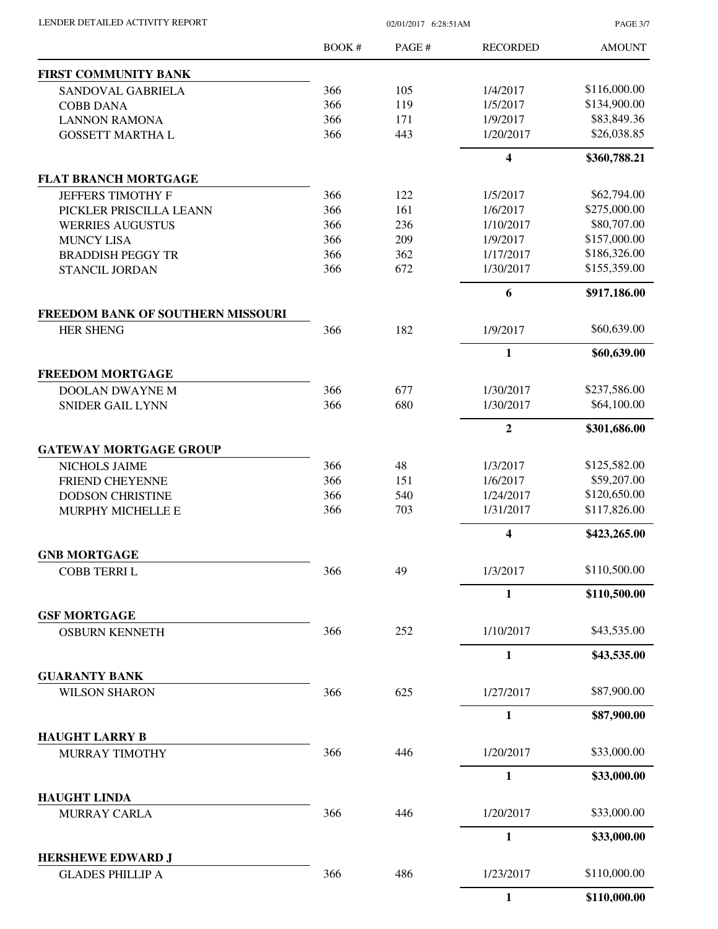| LENDER DETAILED ACTIVITY REPORT            | 02/01/2017 6:28:51AM |        |                 | <b>PAGE 3/7</b> |
|--------------------------------------------|----------------------|--------|-----------------|-----------------|
|                                            | BOOK #               | PAGE # | <b>RECORDED</b> | <b>AMOUNT</b>   |
| <b>FIRST COMMUNITY BANK</b>                |                      |        |                 |                 |
| SANDOVAL GABRIELA                          | 366                  | 105    | 1/4/2017        | \$116,000.00    |
| <b>COBB DANA</b>                           | 366                  | 119    | 1/5/2017        | \$134,900.00    |
| <b>LANNON RAMONA</b>                       | 366                  | 171    | 1/9/2017        | \$83,849.36     |
| <b>GOSSETT MARTHA L</b>                    | 366                  | 443    | 1/20/2017       | \$26,038.85     |
|                                            |                      |        | 4               | \$360,788.21    |
| <b>FLAT BRANCH MORTGAGE</b>                |                      |        |                 |                 |
| <b>JEFFERS TIMOTHY F</b>                   | 366                  | 122    | 1/5/2017        | \$62,794.00     |
| PICKLER PRISCILLA LEANN                    | 366                  | 161    | 1/6/2017        | \$275,000.00    |
| <b>WERRIES AUGUSTUS</b>                    | 366                  | 236    | 1/10/2017       | \$80,707.00     |
| <b>MUNCY LISA</b>                          | 366                  | 209    | 1/9/2017        | \$157,000.00    |
| <b>BRADDISH PEGGY TR</b>                   | 366                  | 362    | 1/17/2017       | \$186,326.00    |
| STANCIL JORDAN                             | 366                  | 672    | 1/30/2017       | \$155,359.00    |
|                                            |                      |        | 6               | \$917,186.00    |
| FREEDOM BANK OF SOUTHERN MISSOURI          |                      |        |                 |                 |
| <b>HER SHENG</b>                           | 366                  | 182    | 1/9/2017        | \$60,639.00     |
|                                            |                      |        | $\mathbf{1}$    | \$60,639.00     |
| <b>FREEDOM MORTGAGE</b>                    |                      |        |                 | \$237,586.00    |
| <b>DOOLAN DWAYNE M</b>                     | 366                  | 677    | 1/30/2017       |                 |
| <b>SNIDER GAIL LYNN</b>                    | 366                  | 680    | 1/30/2017       | \$64,100.00     |
|                                            |                      |        | $\overline{2}$  | \$301,686.00    |
| <b>GATEWAY MORTGAGE GROUP</b>              |                      |        |                 |                 |
| NICHOLS JAIME                              | 366                  | 48     | 1/3/2017        | \$125,582.00    |
| FRIEND CHEYENNE                            | 366                  | 151    | 1/6/2017        | \$59,207.00     |
| <b>DODSON CHRISTINE</b>                    | 366                  | 540    | 1/24/2017       | \$120,650.00    |
| MURPHY MICHELLE E                          | 366                  | 703    | 1/31/2017       | \$117,826.00    |
|                                            |                      |        | 4               | \$423,265.00    |
| <b>GNB MORTGAGE</b><br><b>COBB TERRIL</b>  | 366                  | 49     | 1/3/2017        | \$110,500.00    |
|                                            |                      |        | 1               | \$110,500.00    |
| <b>GSF MORTGAGE</b>                        |                      |        |                 |                 |
| <b>OSBURN KENNETH</b>                      | 366                  | 252    | 1/10/2017       | \$43,535.00     |
|                                            |                      |        | $\mathbf{1}$    | \$43,535.00     |
| <b>GUARANTY BANK</b>                       |                      |        |                 |                 |
| <b>WILSON SHARON</b>                       | 366                  | 625    | 1/27/2017       | \$87,900.00     |
|                                            |                      |        | 1               | \$87,900.00     |
| <b>HAUGHT LARRY B</b>                      |                      |        |                 |                 |
| MURRAY TIMOTHY                             | 366                  | 446    | 1/20/2017       | \$33,000.00     |
|                                            |                      |        | $\mathbf{1}$    | \$33,000.00     |
| <b>HAUGHT LINDA</b><br><b>MURRAY CARLA</b> | 366                  | 446    | 1/20/2017       | \$33,000.00     |
|                                            |                      |        | $\mathbf{1}$    | \$33,000.00     |
| <b>HERSHEWE EDWARD J</b>                   |                      |        |                 |                 |
| <b>GLADES PHILLIP A</b>                    | 366                  | 486    | 1/23/2017       | \$110,000.00    |
|                                            |                      |        | 1               | \$110,000.00    |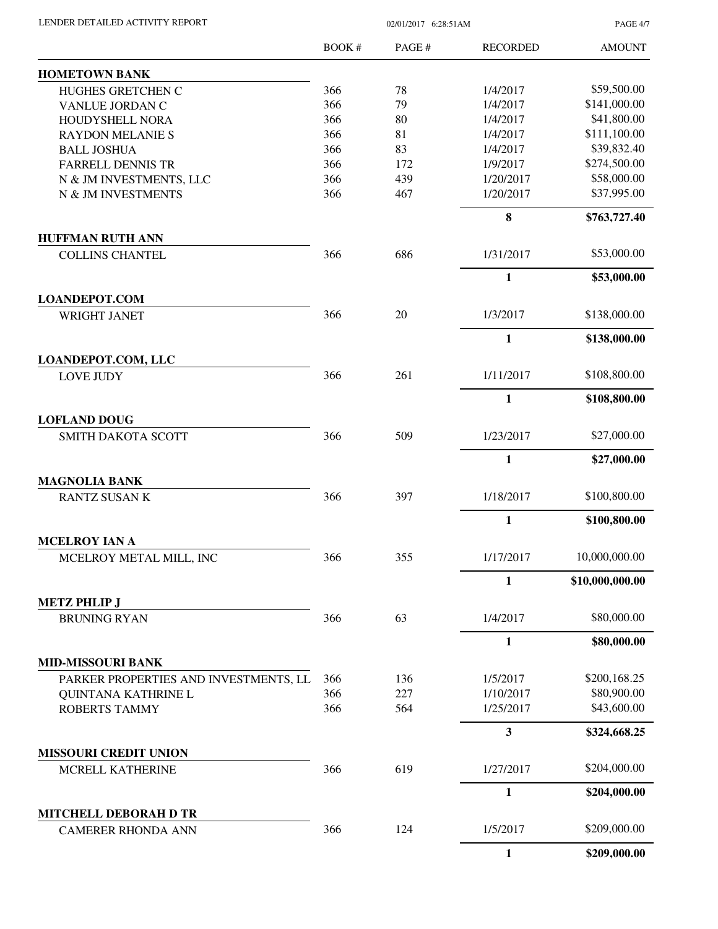| LENDER DETAILED ACTIVITY REPORT                  |        | <b>PAGE 4/7</b> |                 |                 |
|--------------------------------------------------|--------|-----------------|-----------------|-----------------|
|                                                  | BOOK # | PAGE#           | <b>RECORDED</b> | <b>AMOUNT</b>   |
| <b>HOMETOWN BANK</b>                             |        |                 |                 |                 |
| HUGHES GRETCHEN C                                | 366    | 78              | 1/4/2017        | \$59,500.00     |
| VANLUE JORDAN C                                  | 366    | 79              | 1/4/2017        | \$141,000.00    |
| HOUDYSHELL NORA                                  | 366    | 80              | 1/4/2017        | \$41,800.00     |
| <b>RAYDON MELANIE S</b>                          | 366    | 81              | 1/4/2017        | \$111,100.00    |
| <b>BALL JOSHUA</b>                               | 366    | 83              | 1/4/2017        | \$39,832.40     |
| <b>FARRELL DENNIS TR</b>                         | 366    | 172             | 1/9/2017        | \$274,500.00    |
| N & JM INVESTMENTS, LLC                          | 366    | 439             | 1/20/2017       | \$58,000.00     |
| N & JM INVESTMENTS                               | 366    | 467             | 1/20/2017       | \$37,995.00     |
|                                                  |        |                 | 8               | \$763,727.40    |
| <b>HUFFMAN RUTH ANN</b>                          |        |                 |                 |                 |
| <b>COLLINS CHANTEL</b>                           | 366    | 686             | 1/31/2017       | \$53,000.00     |
|                                                  |        |                 | 1               | \$53,000.00     |
| <b>LOANDEPOT.COM</b>                             |        |                 |                 |                 |
| <b>WRIGHT JANET</b>                              | 366    | 20              | 1/3/2017        | \$138,000.00    |
|                                                  |        |                 | $\mathbf{1}$    | \$138,000.00    |
| LOANDEPOT.COM, LLC<br><b>LOVE JUDY</b>           | 366    | 261             | 1/11/2017       | \$108,800.00    |
|                                                  |        |                 |                 |                 |
| <b>LOFLAND DOUG</b>                              |        |                 | $\mathbf{1}$    | \$108,800.00    |
| <b>SMITH DAKOTA SCOTT</b>                        | 366    | 509             | 1/23/2017       | \$27,000.00     |
|                                                  |        |                 | $\mathbf{1}$    | \$27,000.00     |
| <b>MAGNOLIA BANK</b>                             |        |                 |                 |                 |
| <b>RANTZ SUSAN K</b>                             | 366    | 397             | 1/18/2017       | \$100,800.00    |
|                                                  |        |                 | $\mathbf{1}$    | \$100,800.00    |
| <b>MCELROY IAN A</b>                             |        |                 |                 |                 |
| MCELROY METAL MILL, INC                          | 366    | 355             | 1/17/2017       | 10,000,000.00   |
|                                                  |        |                 | 1               | \$10,000,000.00 |
| <b>METZ PHLIP J</b>                              |        |                 |                 |                 |
| <b>BRUNING RYAN</b>                              | 366    | 63              | 1/4/2017        | \$80,000.00     |
|                                                  |        |                 | $\mathbf{1}$    | \$80,000.00     |
| <b>MID-MISSOURI BANK</b>                         |        |                 |                 |                 |
| PARKER PROPERTIES AND INVESTMENTS, LL            | 366    | 136             | 1/5/2017        | \$200,168.25    |
| QUINTANA KATHRINE L                              | 366    | 227             | 1/10/2017       | \$80,900.00     |
| ROBERTS TAMMY                                    | 366    | 564             | 1/25/2017       | \$43,600.00     |
|                                                  |        |                 | 3               | \$324,668.25    |
| <b>MISSOURI CREDIT UNION</b><br>MCRELL KATHERINE | 366    | 619             | 1/27/2017       | \$204,000.00    |
|                                                  |        |                 | 1               | \$204,000.00    |
| <b>MITCHELL DEBORAH D TR</b>                     |        |                 |                 |                 |
| <b>CAMERER RHONDA ANN</b>                        | 366    | 124             | 1/5/2017        | \$209,000.00    |
|                                                  |        |                 | $\mathbf{1}$    | \$209,000.00    |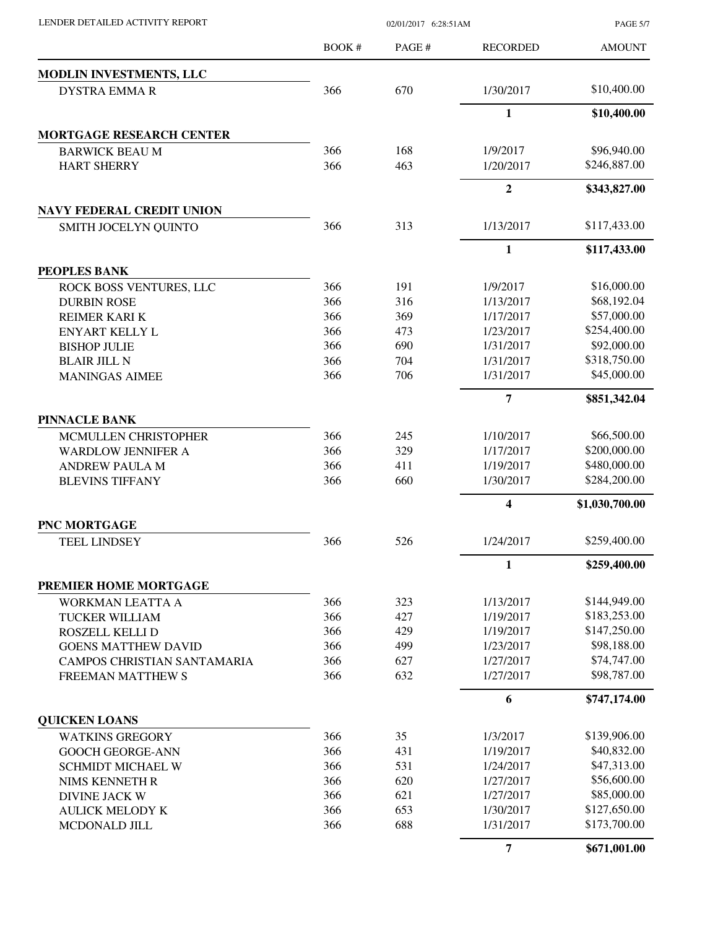| LENDER DETAILED ACTIVITY REPORT |  |
|---------------------------------|--|

02/01/2017 6:28:51AM

PAGE 5/7

|                                  | <b>BOOK#</b> | PAGE# | <b>RECORDED</b> | <b>AMOUNT</b>  |
|----------------------------------|--------------|-------|-----------------|----------------|
| MODLIN INVESTMENTS, LLC          |              |       |                 |                |
| <b>DYSTRA EMMAR</b>              | 366          | 670   | 1/30/2017       | \$10,400.00    |
|                                  |              |       | $\mathbf{1}$    | \$10,400.00    |
| <b>MORTGAGE RESEARCH CENTER</b>  |              |       |                 |                |
| <b>BARWICK BEAU M</b>            | 366          | 168   | 1/9/2017        | \$96,940.00    |
| <b>HART SHERRY</b>               | 366          | 463   | 1/20/2017       | \$246,887.00   |
|                                  |              |       | $\overline{2}$  | \$343,827.00   |
| <b>NAVY FEDERAL CREDIT UNION</b> |              |       |                 |                |
| SMITH JOCELYN QUINTO             | 366          | 313   | 1/13/2017       | \$117,433.00   |
|                                  |              |       | 1               | \$117,433.00   |
| <b>PEOPLES BANK</b>              |              |       |                 |                |
| ROCK BOSS VENTURES, LLC          | 366          | 191   | 1/9/2017        | \$16,000.00    |
| <b>DURBIN ROSE</b>               | 366          | 316   | 1/13/2017       | \$68,192.04    |
| <b>REIMER KARI K</b>             | 366          | 369   | 1/17/2017       | \$57,000.00    |
| <b>ENYART KELLY L</b>            | 366          | 473   | 1/23/2017       | \$254,400.00   |
| <b>BISHOP JULIE</b>              | 366          | 690   | 1/31/2017       | \$92,000.00    |
| <b>BLAIR JILL N</b>              | 366          | 704   | 1/31/2017       | \$318,750.00   |
| <b>MANINGAS AIMEE</b>            | 366          | 706   | 1/31/2017       | \$45,000.00    |
|                                  |              |       | 7               | \$851,342.04   |
| <b>PINNACLE BANK</b>             |              |       |                 |                |
| MCMULLEN CHRISTOPHER             | 366          | 245   | 1/10/2017       | \$66,500.00    |
| <b>WARDLOW JENNIFER A</b>        | 366          | 329   | 1/17/2017       | \$200,000.00   |
| <b>ANDREW PAULA M</b>            | 366          | 411   | 1/19/2017       | \$480,000.00   |
| <b>BLEVINS TIFFANY</b>           | 366          | 660   | 1/30/2017       | \$284,200.00   |
|                                  |              |       | 4               | \$1,030,700.00 |
| PNC MORTGAGE                     |              |       |                 |                |
| <b>TEEL LINDSEY</b>              | 366          | 526   | 1/24/2017       | \$259,400.00   |
|                                  |              |       | 1               | \$259,400.00   |
| PREMIER HOME MORTGAGE            |              |       |                 |                |
| WORKMAN LEATTA A                 | 366          | 323   | 1/13/2017       | \$144,949.00   |
| TUCKER WILLIAM                   | 366          | 427   | 1/19/2017       | \$183,253.00   |
| ROSZELL KELLI D                  | 366          | 429   | 1/19/2017       | \$147,250.00   |
| <b>GOENS MATTHEW DAVID</b>       | 366          | 499   | 1/23/2017       | \$98,188.00    |
| CAMPOS CHRISTIAN SANTAMARIA      | 366          | 627   | 1/27/2017       | \$74,747.00    |
| <b>FREEMAN MATTHEW S</b>         | 366          | 632   | 1/27/2017       | \$98,787.00    |
|                                  |              |       | 6               | \$747,174.00   |
| <b>QUICKEN LOANS</b>             |              |       |                 |                |
| <b>WATKINS GREGORY</b>           | 366          | 35    | 1/3/2017        | \$139,906.00   |
| <b>GOOCH GEORGE-ANN</b>          | 366          | 431   | 1/19/2017       | \$40,832.00    |
| SCHMIDT MICHAEL W                | 366          | 531   | 1/24/2017       | \$47,313.00    |
| NIMS KENNETH R                   | 366          | 620   | 1/27/2017       | \$56,600.00    |
| <b>DIVINE JACK W</b>             | 366          | 621   | 1/27/2017       | \$85,000.00    |
| <b>AULICK MELODY K</b>           | 366          | 653   | 1/30/2017       | \$127,650.00   |
| MCDONALD JILL                    | 366          | 688   | 1/31/2017       | \$173,700.00   |
|                                  |              |       | 7               | \$671,001.00   |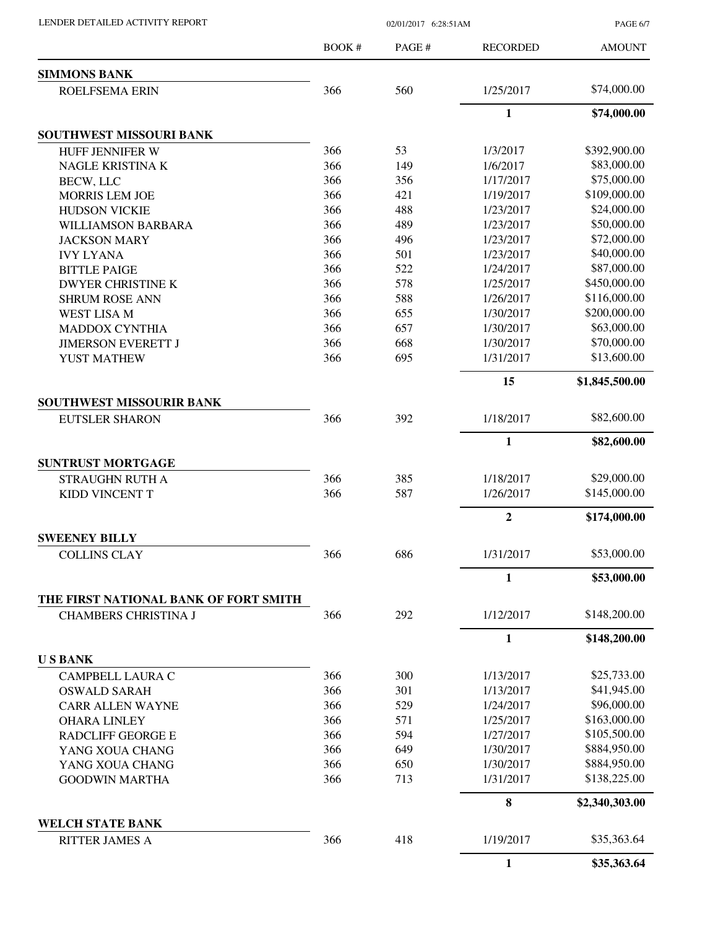| LENDER DETAILED ACTIVITY REPORT |  |
|---------------------------------|--|
|                                 |  |

02/01/2017 6:28:51AM

PAGE 6/7

|                                                                      | <b>BOOK#</b> | PAGE#      | <b>RECORDED</b>  | <b>AMOUNT</b>                |
|----------------------------------------------------------------------|--------------|------------|------------------|------------------------------|
| <b>SIMMONS BANK</b>                                                  |              |            |                  |                              |
| <b>ROELFSEMA ERIN</b>                                                | 366          | 560        | 1/25/2017        | \$74,000.00                  |
|                                                                      |              |            | $\mathbf{1}$     | \$74,000.00                  |
| SOUTHWEST MISSOURI BANK                                              |              |            |                  |                              |
| <b>HUFF JENNIFER W</b>                                               | 366          | 53         | 1/3/2017         | \$392,900.00                 |
| <b>NAGLE KRISTINA K</b>                                              | 366          | 149        | 1/6/2017         | \$83,000.00                  |
| <b>BECW, LLC</b>                                                     | 366          | 356        | 1/17/2017        | \$75,000.00                  |
| MORRIS LEM JOE                                                       | 366          | 421        | 1/19/2017        | \$109,000.00                 |
| <b>HUDSON VICKIE</b>                                                 | 366          | 488        | 1/23/2017        | \$24,000.00                  |
| <b>WILLIAMSON BARBARA</b>                                            | 366          | 489        | 1/23/2017        | \$50,000.00                  |
| <b>JACKSON MARY</b>                                                  | 366          | 496        | 1/23/2017        | \$72,000.00                  |
| <b>IVY LYANA</b>                                                     | 366          | 501        | 1/23/2017        | \$40,000.00                  |
| <b>BITTLE PAIGE</b>                                                  | 366          | 522        | 1/24/2017        | \$87,000.00                  |
| <b>DWYER CHRISTINE K</b>                                             | 366          | 578        | 1/25/2017        | \$450,000.00                 |
| <b>SHRUM ROSE ANN</b>                                                | 366          | 588        | 1/26/2017        | \$116,000.00                 |
| <b>WEST LISA M</b>                                                   | 366          | 655        | 1/30/2017        | \$200,000.00                 |
| <b>MADDOX CYNTHIA</b>                                                | 366          | 657        | 1/30/2017        | \$63,000.00                  |
| <b>JIMERSON EVERETT J</b>                                            | 366          | 668        | 1/30/2017        | \$70,000.00                  |
| YUST MATHEW                                                          | 366          | 695        | 1/31/2017        | \$13,600.00                  |
|                                                                      |              |            | 15               | \$1,845,500.00               |
| <b>SOUTHWEST MISSOURIR BANK</b>                                      |              |            |                  |                              |
| <b>EUTSLER SHARON</b>                                                | 366          | 392        | 1/18/2017        | \$82,600.00                  |
|                                                                      |              |            | 1                | \$82,600.00                  |
| <b>SUNTRUST MORTGAGE</b>                                             |              |            |                  |                              |
| STRAUGHN RUTH A                                                      | 366          | 385        | 1/18/2017        | \$29,000.00                  |
| <b>KIDD VINCENT T</b>                                                | 366          | 587        | 1/26/2017        | \$145,000.00                 |
|                                                                      |              |            | $\boldsymbol{2}$ | \$174,000.00                 |
| <b>SWEENEY BILLY</b>                                                 |              |            |                  |                              |
| <b>COLLINS CLAY</b>                                                  | 366          | 686        | 1/31/2017        | \$53,000.00                  |
|                                                                      |              |            | $\mathbf{1}$     | \$53,000.00                  |
| THE FIRST NATIONAL BANK OF FORT SMITH<br><b>CHAMBERS CHRISTINA J</b> | 366          | 292        | 1/12/2017        | \$148,200.00                 |
|                                                                      |              |            |                  |                              |
|                                                                      |              |            | 1                | \$148,200.00                 |
| <b>USBANK</b>                                                        |              |            |                  |                              |
| CAMPBELL LAURA C                                                     | 366          | 300        | 1/13/2017        | \$25,733.00                  |
| <b>OSWALD SARAH</b>                                                  | 366          | 301        | 1/13/2017        | \$41,945.00                  |
| <b>CARR ALLEN WAYNE</b>                                              | 366          | 529        | 1/24/2017        | \$96,000.00                  |
| <b>OHARA LINLEY</b>                                                  | 366          | 571        | 1/25/2017        | \$163,000.00                 |
| <b>RADCLIFF GEORGE E</b>                                             | 366          | 594        | 1/27/2017        | \$105,500.00                 |
| YANG XOUA CHANG                                                      | 366          | 649        | 1/30/2017        | \$884,950.00                 |
| YANG XOUA CHANG                                                      | 366<br>366   | 650<br>713 | 1/30/2017        | \$884,950.00<br>\$138,225.00 |
| <b>GOODWIN MARTHA</b>                                                |              |            | 1/31/2017        |                              |
|                                                                      |              |            | 8                | \$2,340,303.00               |
| <b>WELCH STATE BANK</b><br><b>RITTER JAMES A</b>                     | 366          | 418        | 1/19/2017        | \$35,363.64                  |
|                                                                      |              |            | $\mathbf{1}$     | \$35,363.64                  |